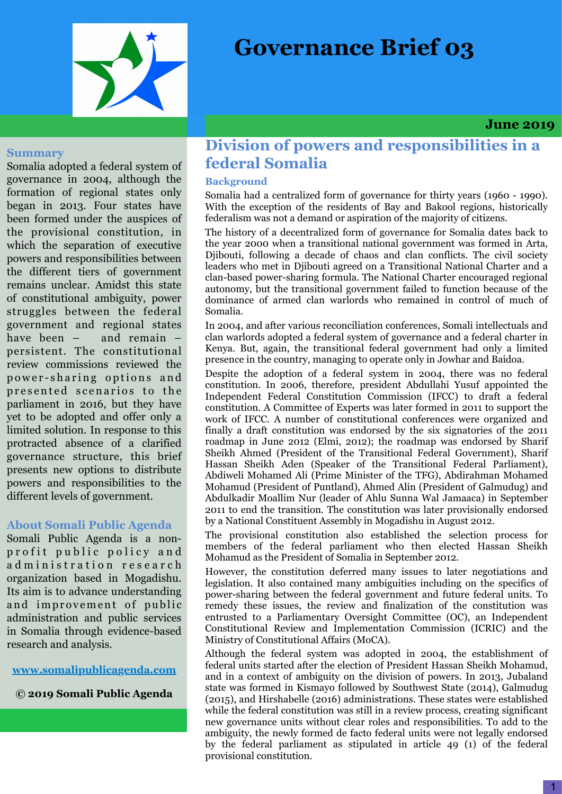# **Governance Brief 03**



 **June 2019**

#### **Summary**

Somalia adopted a federal system of governance in 2004, although the formation of regional states only began in 2013. Four states have been formed under the auspices of the provisional constitution, in which the separation of executive powers and responsibilities between the different tiers of government remains unclear. Amidst this state of constitutional ambiguity, power struggles between the federal government and regional states have been – and remain – persistent. The constitutional review commissions reviewed the power-sharing options and presented scenarios to the parliament in 2016, but they have yet to be adopted and offer only a limited solution. In response to this protracted absence of a clarified governance structure, this brief presents new options to distribute powers and responsibilities to the different levels of government.

#### **About Somali Public Agenda**

Somali Public Agenda is a nonprofit public policy and ad ministration research organization based in Mogadishu. Its aim is to advance understanding and improvement of public administration and public services in Somalia through evidence-based research and analysis.

### **[www.somalipublicagenda.com](http://www.somalipublicagenda.com)**

**© 2019 Somali Public Agenda**

# **Division of powers and responsibilities in a federal Somalia**

## **Background**

Somalia had a centralized form of governance for thirty years (1960 - 1990). With the exception of the residents of Bay and Bakool regions, historically federalism was not a demand or aspiration of the majority of citizens.

The history of a decentralized form of governance for Somalia dates back to the year 2000 when a transitional national government was formed in Arta, Djibouti, following a decade of chaos and clan conflicts. The civil society leaders who met in Djibouti agreed on a Transitional National Charter and a clan-based power-sharing formula. The National Charter encouraged regional autonomy, but the transitional government failed to function because of the dominance of armed clan warlords who remained in control of much of Somalia.

In 2004, and after various reconciliation conferences, Somali intellectuals and clan warlords adopted a federal system of governance and a federal charter in Kenya. But, again, the transitional federal government had only a limited presence in the country, managing to operate only in Jowhar and Baidoa.

Despite the adoption of a federal system in 2004, there was no federal constitution. In 2006, therefore, president Abdullahi Yusuf appointed the Independent Federal Constitution Commission (IFCC) to draft a federal constitution. A Committee of Experts was later formed in 2011 to support the work of IFCC. A number of constitutional conferences were organized and finally a draft constitution was endorsed by the six signatories of the 2011 roadmap in June 2012 (Elmi, 2012); the roadmap was endorsed by Sharif Sheikh Ahmed (President of the Transitional Federal Government), Sharif Hassan Sheikh Aden (Speaker of the Transitional Federal Parliament), Abdiweli Mohamed Ali (Prime Minister of the TFG), Abdirahman Mohamed Mohamud (President of Puntland), Ahmed Alin (President of Galmudug) and Abdulkadir Moallim Nur (leader of Ahlu Sunna Wal Jamaaca) in September 2011 to end the transition. The constitution was later provisionally endorsed by a National Constituent Assembly in Mogadishu in August 2012.

The provisional constitution also established the selection process for members of the federal parliament who then elected Hassan Sheikh Mohamud as the President of Somalia in September 2012.

However, the constitution deferred many issues to later negotiations and legislation. It also contained many ambiguities including on the specifics of power-sharing between the federal government and future federal units. To remedy these issues, the review and finalization of the constitution was entrusted to a Parliamentary Oversight Committee (OC), an Independent Constitutional Review and Implementation Commission (ICRIC) and the Ministry of Constitutional Affairs (MoCA).

Although the federal system was adopted in 2004, the establishment of federal units started after the election of President Hassan Sheikh Mohamud, and in a context of ambiguity on the division of powers. In 2013, Jubaland state was formed in Kismayo followed by Southwest State (2014), Galmudug (2015), and Hirshabelle (2016) administrations. These states were established while the federal constitution was still in a review process, creating significant new governance units without clear roles and responsibilities. To add to the ambiguity, the newly formed de facto federal units were not legally endorsed by the federal parliament as stipulated in article 49 (1) of the federal provisional constitution.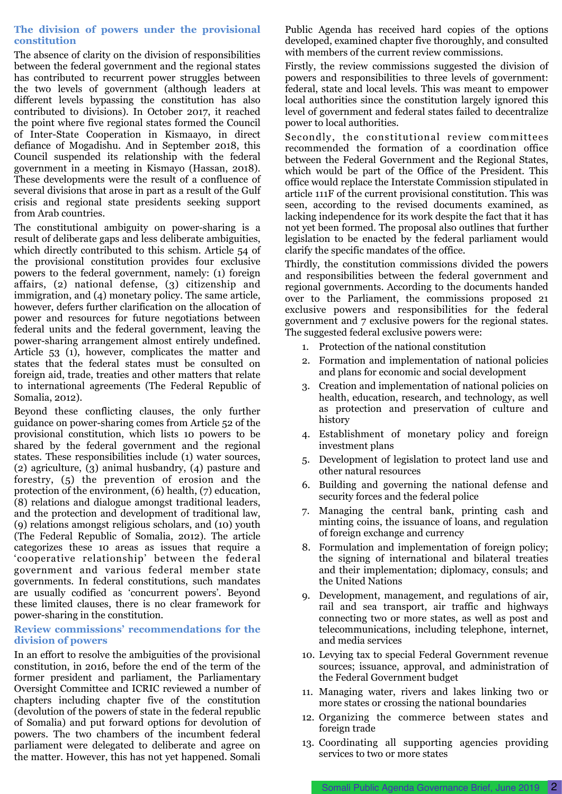#### **The division of powers under the provisional constitution**

The absence of clarity on the division of responsibilities between the federal government and the regional states has contributed to recurrent power struggles between the two levels of government (although leaders at different levels bypassing the constitution has also contributed to divisions). In October 2017, it reached the point where five regional states formed the Council of Inter-State Cooperation in Kismaayo, in direct defiance of Mogadishu. And in September 2018, this Council suspended its relationship with the federal government in a meeting in Kismayo (Hassan, 2018). These developments were the result of a confluence of several divisions that arose in part as a result of the Gulf crisis and regional state presidents seeking support from Arab countries.

The constitutional ambiguity on power-sharing is a result of deliberate gaps and less deliberate ambiguities, which directly contributed to this schism. Article 54 of the provisional constitution provides four exclusive powers to the federal government, namely: (1) foreign affairs, (2) national defense, (3) citizenship and immigration, and (4) monetary policy. The same article, however, defers further clarification on the allocation of power and resources for future negotiations between federal units and the federal government, leaving the power-sharing arrangement almost entirely undefined. Article 53 (1), however, complicates the matter and states that the federal states must be consulted on foreign aid, trade, treaties and other matters that relate to international agreements (The Federal Republic of Somalia, 2012).

Beyond these conflicting clauses, the only further guidance on power-sharing comes from Article 52 of the provisional constitution, which lists 10 powers to be shared by the federal government and the regional states. These responsibilities include (1) water sources, (2) agriculture, (3) animal husbandry, (4) pasture and forestry, (5) the prevention of erosion and the protection of the environment, (6) health, (7) education, (8) relations and dialogue amongst traditional leaders, and the protection and development of traditional law, (9) relations amongst religious scholars, and (10) youth (The Federal Republic of Somalia, 2012). The article categorizes these 10 areas as issues that require a 'cooperative relationship' between the federal government and various federal member state governments. In federal constitutions, such mandates are usually codified as 'concurrent powers'. Beyond these limited clauses, there is no clear framework for power-sharing in the constitution.

#### **Review commissions' recommendations for the division of powers**

In an effort to resolve the ambiguities of the provisional constitution, in 2016, before the end of the term of the former president and parliament, the Parliamentary Oversight Committee and ICRIC reviewed a number of chapters including chapter five of the constitution (devolution of the powers of state in the federal republic of Somalia) and put forward options for devolution of powers. The two chambers of the incumbent federal parliament were delegated to deliberate and agree on the matter. However, this has not yet happened. Somali

Public Agenda has received hard copies of the options developed, examined chapter five thoroughly, and consulted with members of the current review commissions.

Firstly, the review commissions suggested the division of powers and responsibilities to three levels of government: federal, state and local levels. This was meant to empower local authorities since the constitution largely ignored this level of government and federal states failed to decentralize power to local authorities.

Secondly, the constitutional review committees recommended the formation of a coordination office between the Federal Government and the Regional States, which would be part of the Office of the President. This office would replace the Interstate Commission stipulated in article 111F of the current provisional constitution. This was seen, according to the revised documents examined, as lacking independence for its work despite the fact that it has not yet been formed. The proposal also outlines that further legislation to be enacted by the federal parliament would clarify the specific mandates of the office.

Thirdly, the constitution commissions divided the powers and responsibilities between the federal government and regional governments. According to the documents handed over to the Parliament, the commissions proposed 21 exclusive powers and responsibilities for the federal government and 7 exclusive powers for the regional states. The suggested federal exclusive powers were:

- 1. Protection of the national constitution
- 2. Formation and implementation of national policies and plans for economic and social development
- 3. Creation and implementation of national policies on health, education, research, and technology, as well as protection and preservation of culture and history
- 4. Establishment of monetary policy and foreign investment plans
- 5. Development of legislation to protect land use and other natural resources
- 6. Building and governing the national defense and security forces and the federal police
- 7. Managing the central bank, printing cash and minting coins, the issuance of loans, and regulation of foreign exchange and currency
- 8. Formulation and implementation of foreign policy; the signing of international and bilateral treaties and their implementation; diplomacy, consuls; and the United Nations
- 9. Development, management, and regulations of air, rail and sea transport, air traffic and highways connecting two or more states, as well as post and telecommunications, including telephone, internet, and media services
- 10. Levying tax to special Federal Government revenue sources; issuance, approval, and administration of the Federal Government budget
- 11. Managing water, rivers and lakes linking two or more states or crossing the national boundaries
- 12. Organizing the commerce between states and foreign trade
- 13. Coordinating all supporting agencies providing services to two or more states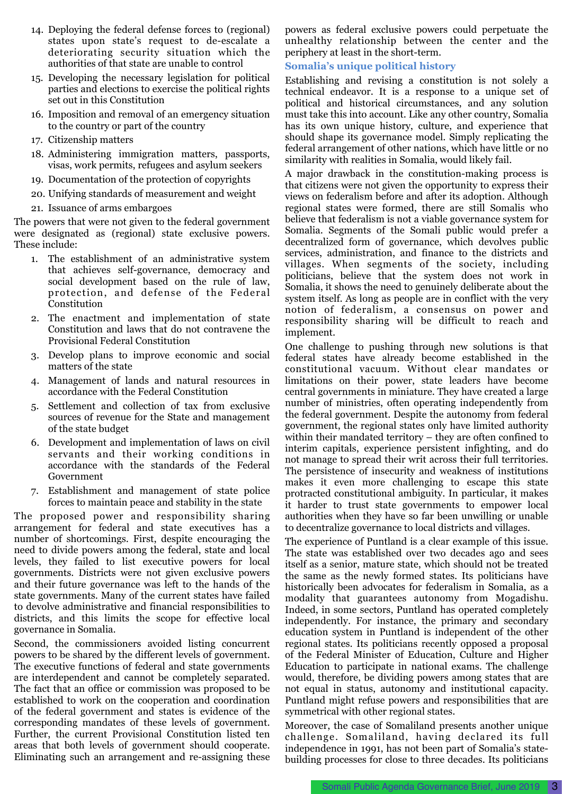- 14. Deploying the federal defense forces to (regional) states upon state's request to de-escalate a deteriorating security situation which the authorities of that state are unable to control
- 15. Developing the necessary legislation for political parties and elections to exercise the political rights set out in this Constitution
- 16. Imposition and removal of an emergency situation to the country or part of the country
- 17. Citizenship matters
- 18. Administering immigration matters, passports, visas, work permits, refugees and asylum seekers
- 19. Documentation of the protection of copyrights
- 20. Unifying standards of measurement and weight
- 21. Issuance of arms embargoes

The powers that were not given to the federal government were designated as (regional) state exclusive powers. These include:

- 1. The establishment of an administrative system that achieves self-governance, democracy and social development based on the rule of law, protection, and defense of the Federal Constitution
- 2. The enactment and implementation of state Constitution and laws that do not contravene the Provisional Federal Constitution
- 3. Develop plans to improve economic and social matters of the state
- 4. Management of lands and natural resources in accordance with the Federal Constitution
- 5. Settlement and collection of tax from exclusive sources of revenue for the State and management of the state budget
- 6. Development and implementation of laws on civil servants and their working conditions in accordance with the standards of the Federal Government
- 7. Establishment and management of state police forces to maintain peace and stability in the state

The proposed power and responsibility sharing arrangement for federal and state executives has a number of shortcomings. First, despite encouraging the need to divide powers among the federal, state and local levels, they failed to list executive powers for local governments. Districts were not given exclusive powers and their future governance was left to the hands of the state governments. Many of the current states have failed to devolve administrative and financial responsibilities to districts, and this limits the scope for effective local governance in Somalia.

Second, the commissioners avoided listing concurrent powers to be shared by the different levels of government. The executive functions of federal and state governments are interdependent and cannot be completely separated. The fact that an office or commission was proposed to be established to work on the cooperation and coordination of the federal government and states is evidence of the corresponding mandates of these levels of government. Further, the current Provisional Constitution listed ten areas that both levels of government should cooperate. Eliminating such an arrangement and re-assigning these

powers as federal exclusive powers could perpetuate the unhealthy relationship between the center and the periphery at least in the short-term.

#### **Somalia's unique political history**

Establishing and revising a constitution is not solely a technical endeavor. It is a response to a unique set of political and historical circumstances, and any solution must take this into account. Like any other country, Somalia has its own unique history, culture, and experience that should shape its governance model. Simply replicating the federal arrangement of other nations, which have little or no similarity with realities in Somalia, would likely fail.

A major drawback in the constitution-making process is that citizens were not given the opportunity to express their views on federalism before and after its adoption. Although regional states were formed, there are still Somalis who believe that federalism is not a viable governance system for Somalia. Segments of the Somali public would prefer a decentralized form of governance, which devolves public services, administration, and finance to the districts and villages. When segments of the society, including politicians, believe that the system does not work in Somalia, it shows the need to genuinely deliberate about the system itself. As long as people are in conflict with the very notion of federalism, a consensus on power and responsibility sharing will be difficult to reach and implement.

One challenge to pushing through new solutions is that federal states have already become established in the constitutional vacuum. Without clear mandates or limitations on their power, state leaders have become central governments in miniature. They have created a large number of ministries, often operating independently from the federal government. Despite the autonomy from federal government, the regional states only have limited authority within their mandated territory – they are often confined to interim capitals, experience persistent infighting, and do not manage to spread their writ across their full territories. The persistence of insecurity and weakness of institutions makes it even more challenging to escape this state protracted constitutional ambiguity. In particular, it makes it harder to trust state governments to empower local authorities when they have so far been unwilling or unable to decentralize governance to local districts and villages.

The experience of Puntland is a clear example of this issue. The state was established over two decades ago and sees itself as a senior, mature state, which should not be treated the same as the newly formed states. Its politicians have historically been advocates for federalism in Somalia, as a modality that guarantees autonomy from Mogadishu. Indeed, in some sectors, Puntland has operated completely independently. For instance, the primary and secondary education system in Puntland is independent of the other regional states. Its politicians recently opposed a proposal of the Federal Minister of Education, Culture and Higher Education to participate in national exams. The challenge would, therefore, be dividing powers among states that are not equal in status, autonomy and institutional capacity. Puntland might refuse powers and responsibilities that are symmetrical with other regional states.

Moreover, the case of Somaliland presents another unique challenge. Somaliland, having declared its full independence in 1991, has not been part of Somalia's statebuilding processes for close to three decades. Its politicians